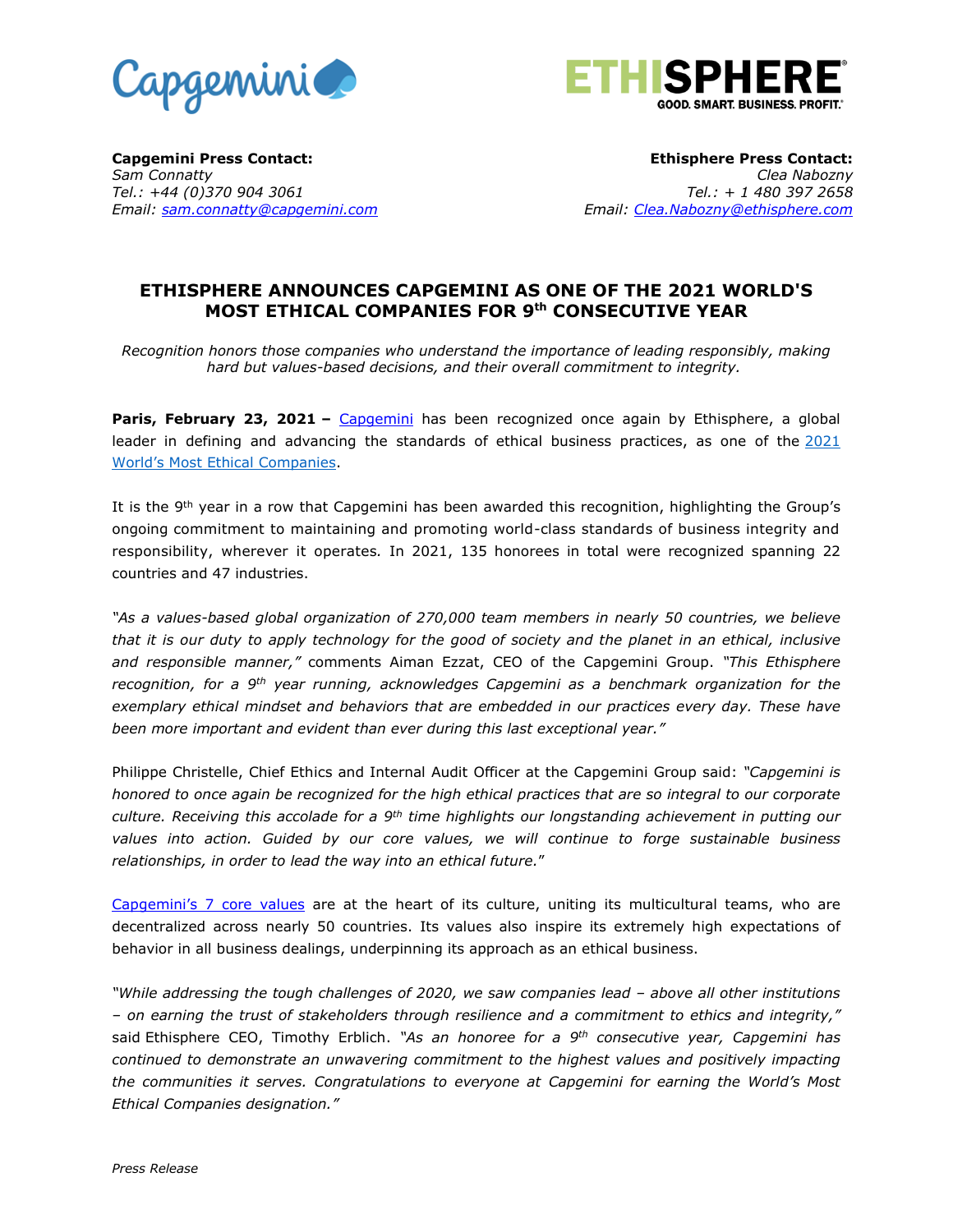



**Capgemini Press Contact:**  *Sam Connatty Tel.: +44 (0)370 904 3061 Email: [sam.connatty@capgemini.com](mailto:sam.connatty@capgemini.com)*

**Ethisphere Press Contact:**  *Clea Nabozny Tel.: + 1 480 397 2658 Email: [Clea.Nabozny@ethisphere.com](mailto:Clea.Nabozny@ethisphere.com)*

# **ETHISPHERE ANNOUNCES CAPGEMINI AS ONE OF THE 2021 WORLD'S MOST ETHICAL COMPANIES FOR 9 th CONSECUTIVE YEAR**

*Recognition honors those companies who understand the importance of leading responsibly, making hard but values-based decisions, and their overall commitment to integrity.*

**Paris, February 23, 2021 –** [Capgemini](http://www.capgemini.com/) has been recognized once again by Ethisphere, a global leader in defining and advancing the standards of ethical business practices, as one of the [2021](https://worldsmostethicalcompanies.com/honorees)  [World's Most Ethic](https://worldsmostethicalcompanies.com/honorees)al Companies.

It is the 9<sup>th</sup> year in a row that Capgemini has been awarded this recognition, highlighting the Group's ongoing commitment to maintaining and promoting world-class standards of business integrity and responsibility, wherever it operates*.* In 2021, 135 honorees in total were recognized spanning 22 countries and 47 industries.

*"As a values-based global organization of 270,000 team members in nearly 50 countries, we believe that it is our duty to apply technology for the good of society and the planet in an ethical, inclusive and responsible manner,"* comments Aiman Ezzat, CEO of the Capgemini Group. *"This Ethisphere recognition, for a 9th year running, acknowledges Capgemini as a benchmark organization for the exemplary ethical mindset and behaviors that are embedded in our practices every day. These have been more important and evident than ever during this last exceptional year."*

Philippe Christelle, Chief Ethics and Internal Audit Officer at the Capgemini Group said: *"Capgemini is honored to once again be recognized for the high ethical practices that are so integral to our corporate culture. Receiving this accolade for a 9 th time highlights our longstanding achievement in putting our values into action. Guided by our core values, we will continue to forge sustainable business relationships, in order to lead the way into an ethical future.*"

[Capgemini's 7 core](https://www.capgemini.com/our-company/values-ethics/) values are at the heart of its culture, uniting its multicultural teams, who are decentralized across nearly 50 countries. Its values also inspire its extremely high expectations of behavior in all business dealings, underpinning its approach as an ethical business.

*"While addressing the tough challenges of 2020, we saw companies lead – above all other institutions – on earning the trust of stakeholders through resilience and a commitment to ethics and integrity,"* said Ethisphere CEO, Timothy Erblich. *"As an honoree for a 9th consecutive year, Capgemini has continued to demonstrate an unwavering commitment to the highest values and positively impacting the communities it serves. Congratulations to everyone at Capgemini for earning the World's Most Ethical Companies designation."*